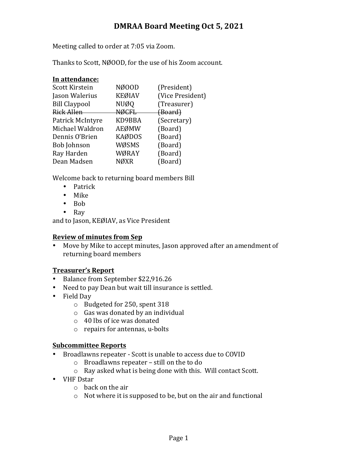# **DMRAA Board Meeting Oct 5, 2021**

Meeting called to order at 7:05 via Zoom.

Thanks to Scott, NØOOD, for the use of his Zoom account.

| In attendance:       |               |                  |
|----------------------|---------------|------------------|
| Scott Kirstein       | NØ00D         | (President)      |
| Jason Walerius       | <b>KEØIAV</b> | (Vice President) |
| <b>Bill Claypool</b> | <b>NUØQ</b>   | (Treasurer)      |
| Rick Allen           | <b>NØCFL</b>  | (Board)          |
| Patrick McIntyre     | KD9BBA        | (Secretary)      |
| Michael Waldron      | AEØMW         | (Board)          |
| Dennis O'Brien       | <b>KAØDOS</b> | (Board)          |
| Bob Johnson          | WØSMS         | (Board)          |
| Ray Harden           | WØRAY         | (Board)          |
| Dean Madsen          | NØXR          | (Board)          |
|                      |               |                  |

Welcome back to returning board members Bill

- Patrick
- Mike
- Bob
- Ray

and to Jason, KEØIAV, as Vice President

#### **Review of minutes from Sep**

• Move by Mike to accept minutes, Jason approved after an amendment of returning board members

# **Treasurer's Report**

- Balance from September \$22,916.26
- Need to pay Dean but wait till insurance is settled.
- Field Day
	- $\circ$  Budgeted for 250, spent 318
	- $\circ$  Gas was donated by an individual
	- $\circ$  40 lbs of ice was donated
	- $\circ$  repairs for antennas, u-bolts

# **Subcommittee Reports**

- Broadlawns repeater Scott is unable to access due to COVID
	- $\circ$  Broadlawns repeater still on the to do
	- $\circ$  Ray asked what is being done with this. Will contact Scott.
- VHF Dstar
	- $\circ$  back on the air
	- $\circ$  Not where it is supposed to be, but on the air and functional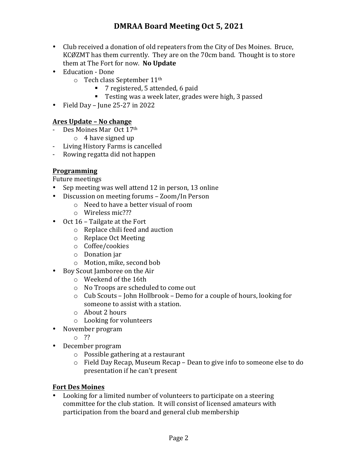- Club received a donation of old repeaters from the City of Des Moines. Bruce, KCØZMT has them currently. They are on the 70cm band. Thought is to store them at The Fort for now. No Update
- Education Done
	- $\circ$  Tech class September 11<sup>th</sup>
		- 7 registered, 5 attended, 6 paid
		- Testing was a week later, grades were high, 3 passed
- Field Day June  $25-27$  in  $2022$

# **Ares Update – No change**

- Des Moines Mar Oct 17th
	- $\circ$  4 have signed up
- Living History Farms is cancelled
- Rowing regatta did not happen

# **Programming**

Future meetings

- Sep meeting was well attend 12 in person, 13 online
- Discussion on meeting forums Zoom/In Person
	- $\circ$  Need to have a better visual of room
	- o Wireless mic???
- Oct  $16$  Tailgate at the Fort
	- $\circ$  Replace chili feed and auction
	- o Replace Oct Meeting
	- o Coffee/cookies
	- $\circ$  Donation jar
	- o Motion, mike, second bob
- Boy Scout Jamboree on the Air
	- o Weekend of the 16th
	- o No Troops are scheduled to come out
	- $\circ$  Cub Scouts John Hollbrook Demo for a couple of hours, looking for someone to assist with a station.
	- $\circ$  About 2 hours
	- $\circ$  Looking for volunteers
- November program
	- o ??
- December program
	- $\circ$  Possible gathering at a restaurant
	- $\circ$  Field Day Recap, Museum Recap Dean to give info to someone else to do presentation if he can't present

# **Fort Des Moines**

Looking for a limited number of volunteers to participate on a steering committee for the club station. It will consist of licensed amateurs with participation from the board and general club membership